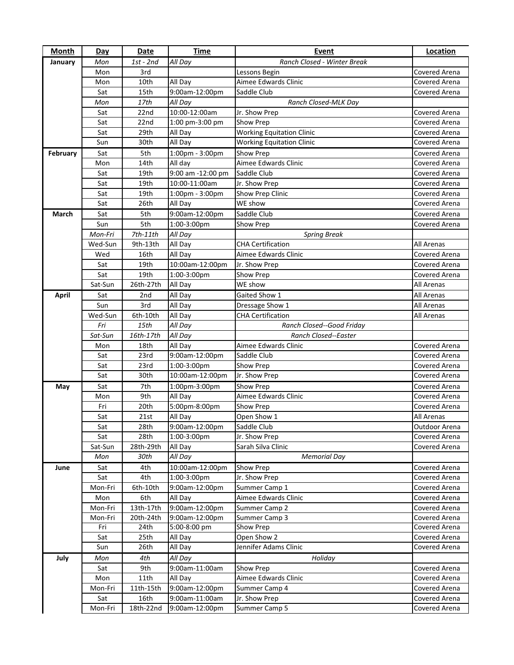| <b>Month</b> | <b>Day</b> | Date       | <b>Time</b>       | Event                            | <b>Location</b>   |
|--------------|------------|------------|-------------------|----------------------------------|-------------------|
| January      | Mon        | 1st - 2nd  | All Day           | Ranch Closed - Winter Break      |                   |
|              | Mon        | 3rd        |                   | Lessons Begin                    | Covered Arena     |
|              | Mon        | 10th       | All Day           | Aimee Edwards Clinic             | Covered Arena     |
|              | Sat        | 15th       | 9:00am-12:00pm    | Saddle Club                      | Covered Arena     |
|              | Mon        | 17th       | All Day           | Ranch Closed-MLK Day             |                   |
|              | Sat        | 22nd       | 10:00-12:00am     | Jr. Show Prep                    | Covered Arena     |
|              | Sat        | 22nd       | 1:00 pm-3:00 pm   | Show Prep                        | Covered Arena     |
|              | Sat        | 29th       | All Day           | <b>Working Equitation Clinic</b> | Covered Arena     |
|              | Sun        | 30th       | All Day           | <b>Working Equitation Clinic</b> | Covered Arena     |
| February     | Sat        | 5th        | 1:00pm - 3:00pm   | Show Prep                        | Covered Arena     |
|              | Mon        | 14th       | All day           | Aimee Edwards Clinic             | Covered Arena     |
|              | Sat        | 19th       | 9:00 am -12:00 pm | Saddle Club                      | Covered Arena     |
|              | Sat        | 19th       | 10:00-11:00am     | Jr. Show Prep                    | Covered Arena     |
|              | Sat        | 19th       | 1:00pm - 3:00pm   | Show Prep Clinic                 | Covered Arena     |
|              | Sat        | 26th       | All Day           | WE show                          | Covered Arena     |
| March        | Sat        | 5th        | 9:00am-12:00pm    | Saddle Club                      | Covered Arena     |
|              | Sun        | 5th        | 1:00-3:00pm       | Show Prep                        | Covered Arena     |
|              | Mon-Fri    | $7th-11th$ | All Day           | <b>Spring Break</b>              |                   |
|              | Wed-Sun    | 9th-13th   | All Day           | <b>CHA Certification</b>         | <b>All Arenas</b> |
|              | Wed        | 16th       | All Day           | Aimee Edwards Clinic             | Covered Arena     |
|              | Sat        | 19th       | 10:00am-12:00pm   | Jr. Show Prep                    | Covered Arena     |
|              | Sat        | 19th       | 1:00-3:00pm       | Show Prep                        | Covered Arena     |
|              | Sat-Sun    | 26th-27th  | All Day           | WE show                          | All Arenas        |
| <b>April</b> | Sat        | 2nd        | All Day           | Gaited Show 1                    | <b>All Arenas</b> |
|              | Sun        | 3rd        | All Day           | Dressage Show 1                  | <b>All Arenas</b> |
|              | Wed-Sun    | 6th-10th   | All Day           | <b>CHA Certification</b>         | All Arenas        |
|              | Fri        | 15th       | All Day           | Ranch Closed--Good Friday        |                   |
|              | Sat-Sun    | 16th-17th  | All Day           | Ranch Closed--Easter             |                   |
|              | Mon        | 18th       | All Day           | Aimee Edwards Clinic             | Covered Arena     |
|              | Sat        | 23rd       | 9:00am-12:00pm    | Saddle Club                      | Covered Arena     |
|              | Sat        | 23rd       | 1:00-3:00pm       | Show Prep                        | Covered Arena     |
|              | Sat        | 30th       | 10:00am-12:00pm   | Jr. Show Prep                    | Covered Arena     |
| May          | Sat        | 7th        | 1:00pm-3:00pm     | Show Prep                        | Covered Arena     |
|              | Mon        | 9th        | All Day           | Aimee Edwards Clinic             | Covered Arena     |
|              | Fri        | 20th       | 5:00pm-8:00pm     | Show Prep                        | Covered Arena     |
|              | Sat        | 21st       | All Day           | Open Show 1                      | All Arenas        |
|              | Sat        | 28th       | 9:00am-12:00pm    | Saddle Club                      | Outdoor Arena     |
|              | Sat        | 28th       | 1:00-3:00pm       | Jr. Show Prep                    | Covered Arena     |
|              | Sat-Sun    | 28th-29th  | All Day           | Sarah Silva Clinic               | Covered Arena     |
|              | Mon        | 30th       | All Day           | <b>Memorial Day</b>              |                   |
| June         | Sat        | 4th        | 10:00am-12:00pm   | Show Prep                        | Covered Arena     |
|              | Sat        | 4th        | 1:00-3:00pm       | Jr. Show Prep                    | Covered Arena     |
|              | Mon-Fri    | 6th-10th   | 9:00am-12:00pm    | Summer Camp 1                    | Covered Arena     |
|              | Mon        | 6th        | All Day           | Aimee Edwards Clinic             | Covered Arena     |
|              | Mon-Fri    | 13th-17th  | 9:00am-12:00pm    | Summer Camp 2                    | Covered Arena     |
|              | Mon-Fri    | 20th-24th  | 9:00am-12:00pm    | Summer Camp 3                    | Covered Arena     |
|              | Fri        | 24th       | 5:00-8:00 pm      | Show Prep                        | Covered Arena     |
|              | Sat        | 25th       | All Day           | Open Show 2                      | Covered Arena     |
|              | Sun        | 26th       | All Day           | Jennifer Adams Clinic            | Covered Arena     |
| July         | Mon        | 4th        | All Day           | Holiday                          |                   |
|              | Sat        | 9th        | 9:00am-11:00am    | Show Prep                        | Covered Arena     |
|              | Mon        | 11th       | All Day           | Aimee Edwards Clinic             | Covered Arena     |
|              | Mon-Fri    | 11th-15th  | 9:00am-12:00pm    | Summer Camp 4                    | Covered Arena     |
|              | Sat        | 16th       | 9:00am-11:00am    | Jr. Show Prep                    | Covered Arena     |
|              | Mon-Fri    | 18th-22nd  | 9:00am-12:00pm    | Summer Camp 5                    | Covered Arena     |
|              |            |            |                   |                                  |                   |